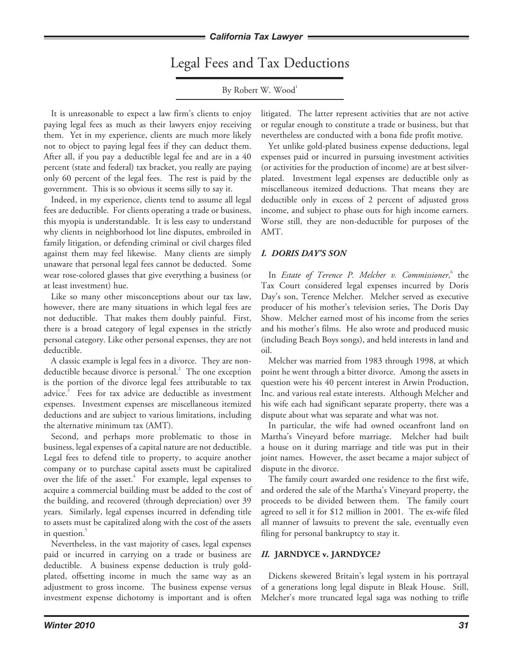Legal Fees and Tax Deductions

By Robert W. Wood<sup>1</sup>

It is unreasonable to expect a law firm's clients to enjoy paying legal fees as much as their lawyers enjoy receiving them. Yet in my experience, clients are much more likely not to object to paying legal fees if they can deduct them. After all, if you pay a deductible legal fee and are in a 40 percent (state and federal) tax bracket, you really are paying only 60 percent of the legal fees. The rest is paid by the government. This is so obvious it seems silly to say it.

Indeed, in my experience, clients tend to assume all legal fees are deductible. For clients operating a trade or business, this myopia is understandable. It is less easy to understand why clients in neighborhood lot line disputes, embroiled in family litigation, or defending criminal or civil charges filed against them may feel likewise. Many clients are simply unaware that personal legal fees cannot be deducted. Some wear rose-colored glasses that give everything a business (or at least investment) hue.

Like so many other misconceptions about our tax law, however, there are many situations in which legal fees are not deductible. That makes them doubly painful. First, there is a broad category of legal expenses in the strictly personal category. Like other personal expenses, they are not deductible.

A classic example is legal fees in a divorce. They are nondeductible because divorce is personal.<sup>2</sup> The one exception is the portion of the divorce legal fees attributable to tax advice.<sup>3</sup> Fees for tax advice are deductible as investment expenses. Investment expenses are miscellaneous itemized deductions and are subject to various limitations, including the alternative minimum tax (AMT).

Second, and perhaps more problematic to those in business, legal expenses of a capital nature are not deductible. Legal fees to defend title to property, to acquire another company or to purchase capital assets must be capitalized over the life of the asset.<sup>4</sup> For example, legal expenses to acquire a commercial building must be added to the cost of the building, and recovered (through depreciation) over 39 years. Similarly, legal expenses incurred in defending title to assets must be capitalized along with the cost of the assets in question.<sup>5</sup>

Nevertheless, in the vast majority of cases, legal expenses paid or incurred in carrying on a trade or business are deductible. A business expense deduction is truly goldplated, offsetting income in much the same way as an adjustment to gross income. The business expense versus investment expense dichotomy is important and is often litigated. The latter represent activities that are not active or regular enough to constitute a trade or business, but that nevertheless are conducted with a bona fide profit motive.

Yet unlike gold-plated business expense deductions, legal expenses paid or incurred in pursuing investment activities (or activities for the production of income) are at best silverplated. Investment legal expenses are deductible only as miscellaneous itemized deductions. That means they are deductible only in excess of 2 percent of adjusted gross income, and subject to phase outs for high income earners. Worse still, they are non-deductible for purposes of the AMT.

# *I. DORIS DAY'S SON*

In *Estate of Terence P. Melcher v. Commissioner*, the Tax Court considered legal expenses incurred by Doris Day's son, Terence Melcher. Melcher served as executive producer of his mother's television series, The Doris Day Show. Melcher earned most of his income from the series and his mother's films. He also wrote and produced music (including Beach Boys songs), and held interests in land and oil.

Melcher was married from 1983 through 1998, at which point he went through a bitter divorce. Among the assets in question were his 40 percent interest in Arwin Production, Inc. and various real estate interests. Although Melcher and his wife each had significant separate property, there was a dispute about what was separate and what was not.

In particular, the wife had owned oceanfront land on Martha's Vineyard before marriage. Melcher had built a house on it during marriage and title was put in their joint names. However, the asset became a major subject of dispute in the divorce.

The family court awarded one residence to the first wife, and ordered the sale of the Martha's Vineyard property, the proceeds to be divided between them. The family court agreed to sell it for \$12 million in 2001. The ex-wife filed all manner of lawsuits to prevent the sale, eventually even filing for personal bankruptcy to stay it.

# *II.* **JArnDyCe v. JArnDyCe***?*

Dickens skewered Britain's legal system in his portrayal of a generations long legal dispute in Bleak House. Still, Melcher's more truncated legal saga was nothing to trifle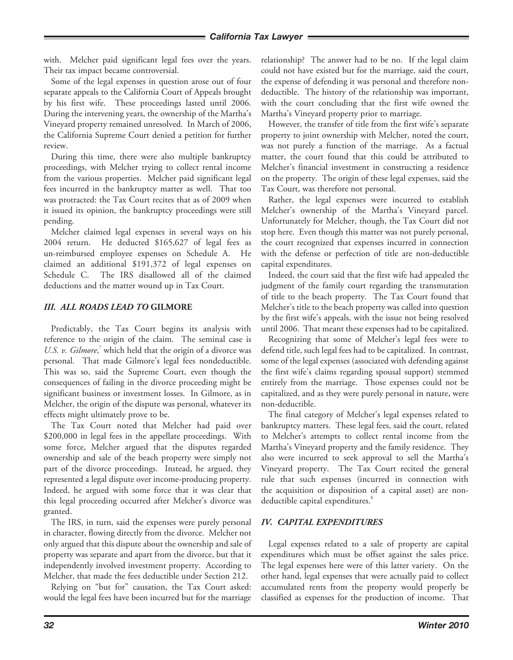with. Melcher paid significant legal fees over the years. Their tax impact became controversial.

Some of the legal expenses in question arose out of four separate appeals to the California Court of Appeals brought by his first wife. These proceedings lasted until 2006. During the intervening years, the ownership of the Martha's Vineyard property remained unresolved. In March of 2006, the California Supreme Court denied a petition for further review.

During this time, there were also multiple bankruptcy proceedings, with Melcher trying to collect rental income from the various properties. Melcher paid significant legal fees incurred in the bankruptcy matter as well. That too was protracted: the Tax Court recites that as of 2009 when it issued its opinion, the bankruptcy proceedings were still pending.

Melcher claimed legal expenses in several ways on his 2004 return. He deducted \$165,627 of legal fees as un-reimbursed employee expenses on Schedule A. He claimed an additional \$191,372 of legal expenses on Schedule C. The IRS disallowed all of the claimed deductions and the matter wound up in Tax Court.

# *III. ALL ROADS LEAD TO* **GiLmore**

Predictably, the Tax Court begins its analysis with reference to the origin of the claim. The seminal case is U.S. v. Gilmore,<sup>7</sup> which held that the origin of a divorce was personal. That made Gilmore's legal fees nondeductible. This was so, said the Supreme Court, even though the consequences of failing in the divorce proceeding might be significant business or investment losses. In Gilmore, as in Melcher, the origin of the dispute was personal, whatever its effects might ultimately prove to be.

The Tax Court noted that Melcher had paid over \$200,000 in legal fees in the appellate proceedings. With some force, Melcher argued that the disputes regarded ownership and sale of the beach property were simply not part of the divorce proceedings. Instead, he argued, they represented a legal dispute over income-producing property. Indeed, he argued with some force that it was clear that this legal proceeding occurred after Melcher's divorce was granted.

The IRS, in turn, said the expenses were purely personal in character, flowing directly from the divorce. Melcher not only argued that this dispute about the ownership and sale of property was separate and apart from the divorce, but that it independently involved investment property. According to Melcher, that made the fees deductible under Section 212.

Relying on "but for" causation, the Tax Court asked: would the legal fees have been incurred but for the marriage

relationship? The answer had to be no. If the legal claim could not have existed but for the marriage, said the court, the expense of defending it was personal and therefore nondeductible. The history of the relationship was important, with the court concluding that the first wife owned the Martha's Vineyard property prior to marriage.

However, the transfer of title from the first wife's separate property to joint ownership with Melcher, noted the court, was not purely a function of the marriage. As a factual matter, the court found that this could be attributed to Melcher's financial investment in constructing a residence on the property. The origin of these legal expenses, said the Tax Court, was therefore not personal.

Rather, the legal expenses were incurred to establish Melcher's ownership of the Martha's Vineyard parcel. Unfortunately for Melcher, though, the Tax Court did not stop here. Even though this matter was not purely personal, the court recognized that expenses incurred in connection with the defense or perfection of title are non-deductible capital expenditures.

Indeed, the court said that the first wife had appealed the judgment of the family court regarding the transmutation of title to the beach property. The Tax Court found that Melcher's title to the beach property was called into question by the first wife's appeals, with the issue not being resolved until 2006. That meant these expenses had to be capitalized.

Recognizing that some of Melcher's legal fees were to defend title, such legal fees had to be capitalized. In contrast, some of the legal expenses (associated with defending against the first wife's claims regarding spousal support) stemmed entirely from the marriage. Those expenses could not be capitalized, and as they were purely personal in nature, were non-deductible.

The final category of Melcher's legal expenses related to bankruptcy matters. These legal fees, said the court, related to Melcher's attempts to collect rental income from the Martha's Vineyard property and the family residence. They also were incurred to seek approval to sell the Martha's Vineyard property. The Tax Court recited the general rule that such expenses (incurred in connection with the acquisition or disposition of a capital asset) are nondeductible capital expenditures.<sup>8</sup>

# *IV. CAPITAL EXPENDITURES*

Legal expenses related to a sale of property are capital expenditures which must be offset against the sales price. The legal expenses here were of this latter variety. On the other hand, legal expenses that were actually paid to collect accumulated rents from the property would properly be classified as expenses for the production of income. That